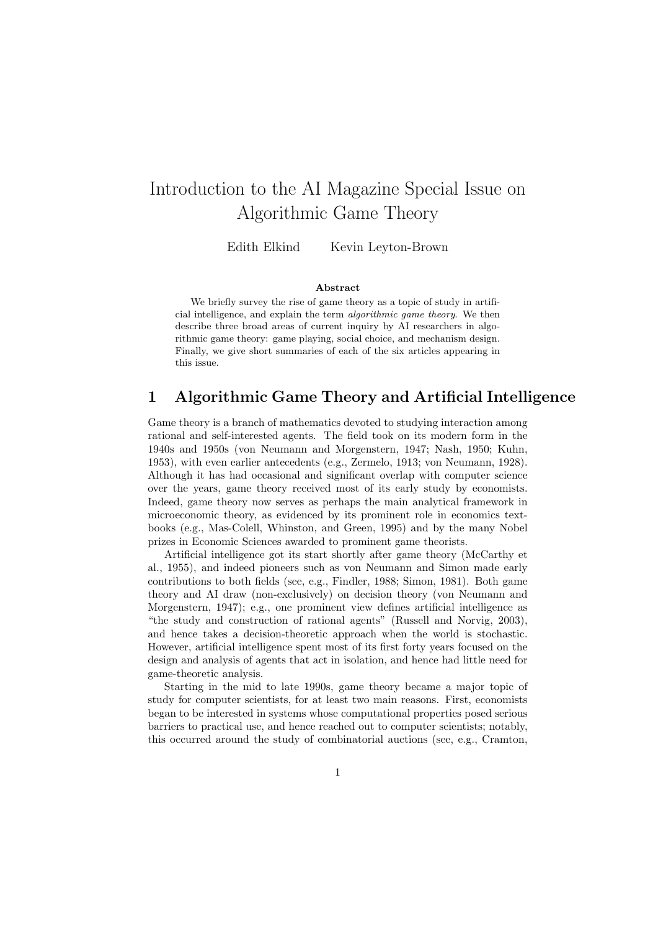# Introduction to the AI Magazine Special Issue on Algorithmic Game Theory

Edith Elkind Kevin Leyton-Brown

#### Abstract

We briefly survey the rise of game theory as a topic of study in artificial intelligence, and explain the term algorithmic game theory. We then describe three broad areas of current inquiry by AI researchers in algorithmic game theory: game playing, social choice, and mechanism design. Finally, we give short summaries of each of the six articles appearing in this issue.

## 1 Algorithmic Game Theory and Artificial Intelligence

Game theory is a branch of mathematics devoted to studying interaction among rational and self-interested agents. The field took on its modern form in the 1940s and 1950s (von Neumann and Morgenstern, 1947; Nash, 1950; Kuhn, 1953), with even earlier antecedents (e.g., Zermelo, 1913; von Neumann, 1928). Although it has had occasional and significant overlap with computer science over the years, game theory received most of its early study by economists. Indeed, game theory now serves as perhaps the main analytical framework in microeconomic theory, as evidenced by its prominent role in economics textbooks (e.g., Mas-Colell, Whinston, and Green, 1995) and by the many Nobel prizes in Economic Sciences awarded to prominent game theorists.

Artificial intelligence got its start shortly after game theory (McCarthy et al., 1955), and indeed pioneers such as von Neumann and Simon made early contributions to both fields (see, e.g., Findler, 1988; Simon, 1981). Both game theory and AI draw (non-exclusively) on decision theory (von Neumann and Morgenstern, 1947); e.g., one prominent view defines artificial intelligence as "the study and construction of rational agents" (Russell and Norvig, 2003), and hence takes a decision-theoretic approach when the world is stochastic. However, artificial intelligence spent most of its first forty years focused on the design and analysis of agents that act in isolation, and hence had little need for game-theoretic analysis.

Starting in the mid to late 1990s, game theory became a major topic of study for computer scientists, for at least two main reasons. First, economists began to be interested in systems whose computational properties posed serious barriers to practical use, and hence reached out to computer scientists; notably, this occurred around the study of combinatorial auctions (see, e.g., Cramton,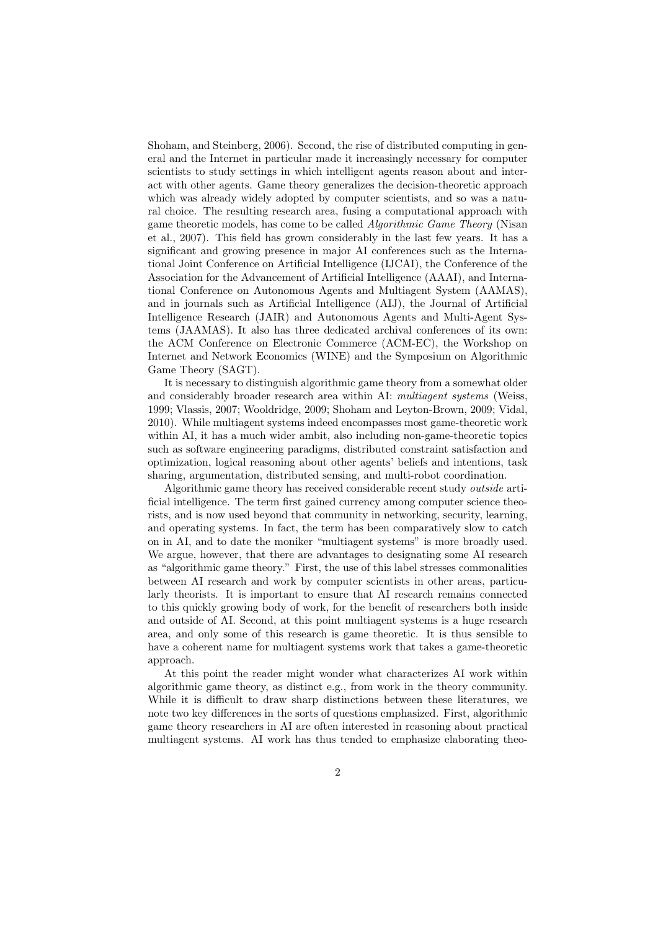Shoham, and Steinberg, 2006). Second, the rise of distributed computing in general and the Internet in particular made it increasingly necessary for computer scientists to study settings in which intelligent agents reason about and interact with other agents. Game theory generalizes the decision-theoretic approach which was already widely adopted by computer scientists, and so was a natural choice. The resulting research area, fusing a computational approach with game theoretic models, has come to be called Algorithmic Game Theory (Nisan et al., 2007). This field has grown considerably in the last few years. It has a significant and growing presence in major AI conferences such as the International Joint Conference on Artificial Intelligence (IJCAI), the Conference of the Association for the Advancement of Artificial Intelligence (AAAI), and International Conference on Autonomous Agents and Multiagent System (AAMAS), and in journals such as Artificial Intelligence (AIJ), the Journal of Artificial Intelligence Research (JAIR) and Autonomous Agents and Multi-Agent Systems (JAAMAS). It also has three dedicated archival conferences of its own: the ACM Conference on Electronic Commerce (ACM-EC), the Workshop on Internet and Network Economics (WINE) and the Symposium on Algorithmic Game Theory (SAGT).

It is necessary to distinguish algorithmic game theory from a somewhat older and considerably broader research area within AI: multiagent systems (Weiss, 1999; Vlassis, 2007; Wooldridge, 2009; Shoham and Leyton-Brown, 2009; Vidal, 2010). While multiagent systems indeed encompasses most game-theoretic work within AI, it has a much wider ambit, also including non-game-theoretic topics such as software engineering paradigms, distributed constraint satisfaction and optimization, logical reasoning about other agents' beliefs and intentions, task sharing, argumentation, distributed sensing, and multi-robot coordination.

Algorithmic game theory has received considerable recent study outside artificial intelligence. The term first gained currency among computer science theorists, and is now used beyond that community in networking, security, learning, and operating systems. In fact, the term has been comparatively slow to catch on in AI, and to date the moniker "multiagent systems" is more broadly used. We argue, however, that there are advantages to designating some AI research as "algorithmic game theory." First, the use of this label stresses commonalities between AI research and work by computer scientists in other areas, particularly theorists. It is important to ensure that AI research remains connected to this quickly growing body of work, for the benefit of researchers both inside and outside of AI. Second, at this point multiagent systems is a huge research area, and only some of this research is game theoretic. It is thus sensible to have a coherent name for multiagent systems work that takes a game-theoretic approach.

At this point the reader might wonder what characterizes AI work within algorithmic game theory, as distinct e.g., from work in the theory community. While it is difficult to draw sharp distinctions between these literatures, we note two key differences in the sorts of questions emphasized. First, algorithmic game theory researchers in AI are often interested in reasoning about practical multiagent systems. AI work has thus tended to emphasize elaborating theo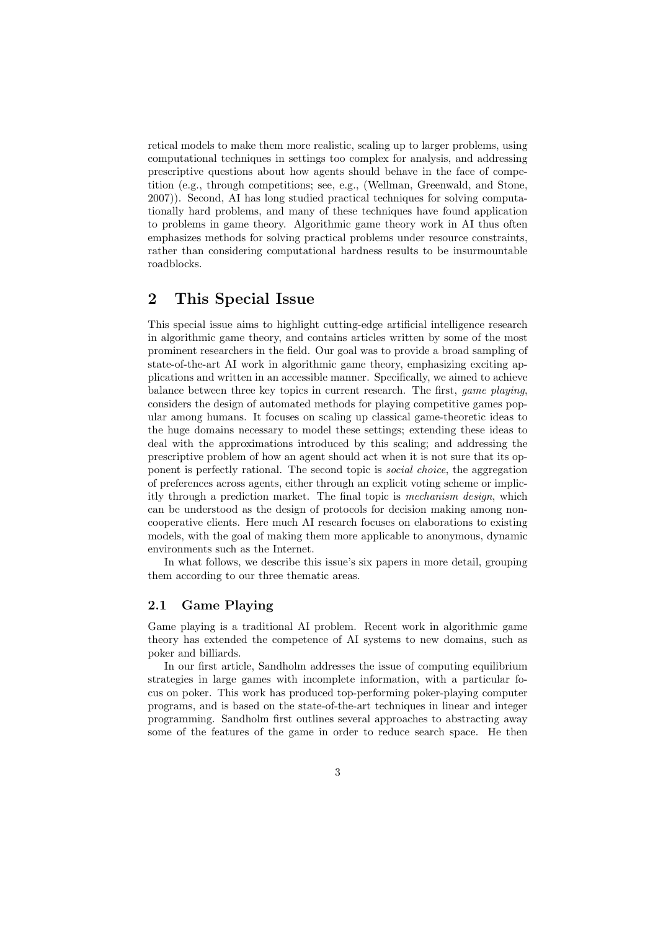retical models to make them more realistic, scaling up to larger problems, using computational techniques in settings too complex for analysis, and addressing prescriptive questions about how agents should behave in the face of competition (e.g., through competitions; see, e.g., (Wellman, Greenwald, and Stone, 2007)). Second, AI has long studied practical techniques for solving computationally hard problems, and many of these techniques have found application to problems in game theory. Algorithmic game theory work in AI thus often emphasizes methods for solving practical problems under resource constraints, rather than considering computational hardness results to be insurmountable roadblocks.

## 2 This Special Issue

This special issue aims to highlight cutting-edge artificial intelligence research in algorithmic game theory, and contains articles written by some of the most prominent researchers in the field. Our goal was to provide a broad sampling of state-of-the-art AI work in algorithmic game theory, emphasizing exciting applications and written in an accessible manner. Specifically, we aimed to achieve balance between three key topics in current research. The first, game playing, considers the design of automated methods for playing competitive games popular among humans. It focuses on scaling up classical game-theoretic ideas to the huge domains necessary to model these settings; extending these ideas to deal with the approximations introduced by this scaling; and addressing the prescriptive problem of how an agent should act when it is not sure that its opponent is perfectly rational. The second topic is social choice, the aggregation of preferences across agents, either through an explicit voting scheme or implicitly through a prediction market. The final topic is mechanism design, which can be understood as the design of protocols for decision making among noncooperative clients. Here much AI research focuses on elaborations to existing models, with the goal of making them more applicable to anonymous, dynamic environments such as the Internet.

In what follows, we describe this issue's six papers in more detail, grouping them according to our three thematic areas.

#### 2.1 Game Playing

Game playing is a traditional AI problem. Recent work in algorithmic game theory has extended the competence of AI systems to new domains, such as poker and billiards.

In our first article, Sandholm addresses the issue of computing equilibrium strategies in large games with incomplete information, with a particular focus on poker. This work has produced top-performing poker-playing computer programs, and is based on the state-of-the-art techniques in linear and integer programming. Sandholm first outlines several approaches to abstracting away some of the features of the game in order to reduce search space. He then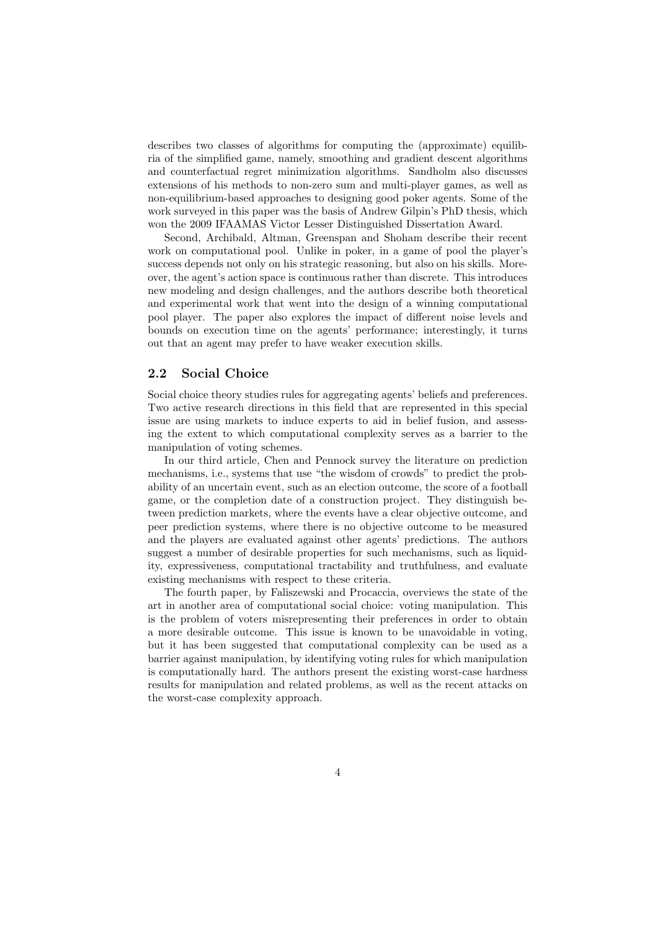describes two classes of algorithms for computing the (approximate) equilibria of the simplified game, namely, smoothing and gradient descent algorithms and counterfactual regret minimization algorithms. Sandholm also discusses extensions of his methods to non-zero sum and multi-player games, as well as non-equilibrium-based approaches to designing good poker agents. Some of the work surveyed in this paper was the basis of Andrew Gilpin's PhD thesis, which won the 2009 IFAAMAS Victor Lesser Distinguished Dissertation Award.

Second, Archibald, Altman, Greenspan and Shoham describe their recent work on computational pool. Unlike in poker, in a game of pool the player's success depends not only on his strategic reasoning, but also on his skills. Moreover, the agent's action space is continuous rather than discrete. This introduces new modeling and design challenges, and the authors describe both theoretical and experimental work that went into the design of a winning computational pool player. The paper also explores the impact of different noise levels and bounds on execution time on the agents' performance; interestingly, it turns out that an agent may prefer to have weaker execution skills.

### 2.2 Social Choice

Social choice theory studies rules for aggregating agents' beliefs and preferences. Two active research directions in this field that are represented in this special issue are using markets to induce experts to aid in belief fusion, and assessing the extent to which computational complexity serves as a barrier to the manipulation of voting schemes.

In our third article, Chen and Pennock survey the literature on prediction mechanisms, i.e., systems that use "the wisdom of crowds" to predict the probability of an uncertain event, such as an election outcome, the score of a football game, or the completion date of a construction project. They distinguish between prediction markets, where the events have a clear objective outcome, and peer prediction systems, where there is no objective outcome to be measured and the players are evaluated against other agents' predictions. The authors suggest a number of desirable properties for such mechanisms, such as liquidity, expressiveness, computational tractability and truthfulness, and evaluate existing mechanisms with respect to these criteria.

The fourth paper, by Faliszewski and Procaccia, overviews the state of the art in another area of computational social choice: voting manipulation. This is the problem of voters misrepresenting their preferences in order to obtain a more desirable outcome. This issue is known to be unavoidable in voting, but it has been suggested that computational complexity can be used as a barrier against manipulation, by identifying voting rules for which manipulation is computationally hard. The authors present the existing worst-case hardness results for manipulation and related problems, as well as the recent attacks on the worst-case complexity approach.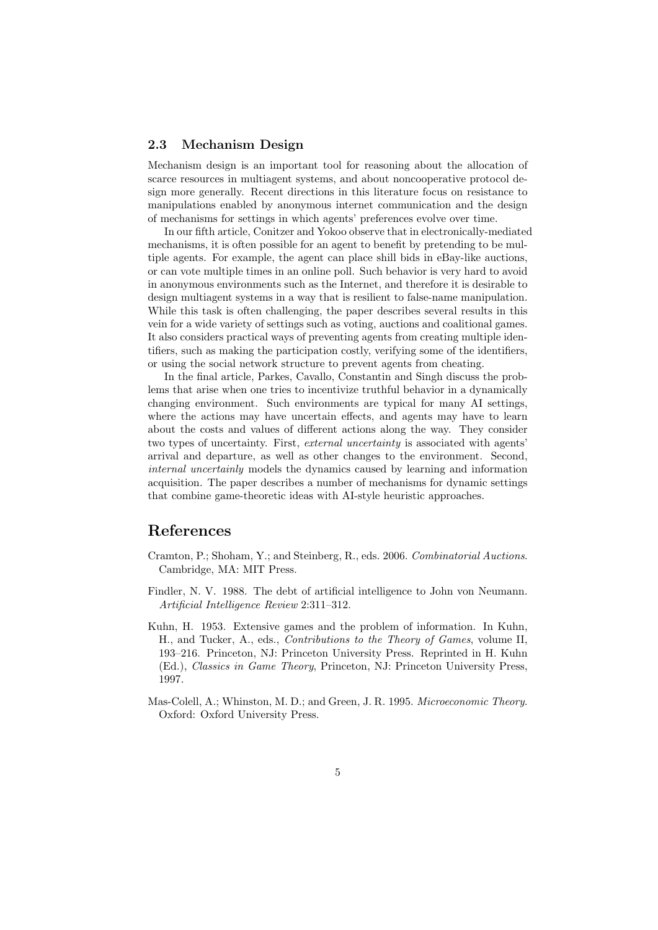#### 2.3 Mechanism Design

Mechanism design is an important tool for reasoning about the allocation of scarce resources in multiagent systems, and about noncooperative protocol design more generally. Recent directions in this literature focus on resistance to manipulations enabled by anonymous internet communication and the design of mechanisms for settings in which agents' preferences evolve over time.

In our fifth article, Conitzer and Yokoo observe that in electronically-mediated mechanisms, it is often possible for an agent to benefit by pretending to be multiple agents. For example, the agent can place shill bids in eBay-like auctions, or can vote multiple times in an online poll. Such behavior is very hard to avoid in anonymous environments such as the Internet, and therefore it is desirable to design multiagent systems in a way that is resilient to false-name manipulation. While this task is often challenging, the paper describes several results in this vein for a wide variety of settings such as voting, auctions and coalitional games. It also considers practical ways of preventing agents from creating multiple identifiers, such as making the participation costly, verifying some of the identifiers, or using the social network structure to prevent agents from cheating.

In the final article, Parkes, Cavallo, Constantin and Singh discuss the problems that arise when one tries to incentivize truthful behavior in a dynamically changing environment. Such environments are typical for many AI settings, where the actions may have uncertain effects, and agents may have to learn about the costs and values of different actions along the way. They consider two types of uncertainty. First, external uncertainty is associated with agents' arrival and departure, as well as other changes to the environment. Second, internal uncertainly models the dynamics caused by learning and information acquisition. The paper describes a number of mechanisms for dynamic settings that combine game-theoretic ideas with AI-style heuristic approaches.

## References

- Cramton, P.; Shoham, Y.; and Steinberg, R., eds. 2006. Combinatorial Auctions. Cambridge, MA: MIT Press.
- Findler, N. V. 1988. The debt of artificial intelligence to John von Neumann. Artificial Intelligence Review 2:311–312.
- Kuhn, H. 1953. Extensive games and the problem of information. In Kuhn, H., and Tucker, A., eds., Contributions to the Theory of Games, volume II, 193–216. Princeton, NJ: Princeton University Press. Reprinted in H. Kuhn (Ed.), Classics in Game Theory, Princeton, NJ: Princeton University Press, 1997.
- Mas-Colell, A.; Whinston, M. D.; and Green, J. R. 1995. Microeconomic Theory. Oxford: Oxford University Press.